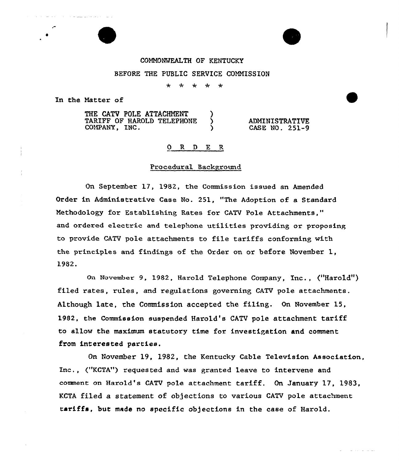# COMMONWEALTH OF KENTUCKY BEFORE THE PUBLIC SERVICE COMMISSION

 $+ - +$  $\star$  $\star$  $\rightarrow$ 

In the Matter of

THE CATV POLE ATTACHMENT )<br>TARIFF OF HAROLD TELEPHONE ) TARIFF OF HAROLD TELEPHONE )<br>COMPANY. INC. COMPANY, INC. ) ADMINISTRATIVE CASE NO. 251-9

#### 0 R <sup>D</sup> E R

## Procedural Background

On September 17, 1982, the Commission issued an Amended Order in Administrative Case No. 251, "The Adoption of a Standard Methodology for Establishing Rates for CATV Pole Attachments," and ordered electric and telephone utilities providing or proposing to provide CATV pole attachments to file tariffs conforming with the principles and findings of the Order on or befoxe November 1, 1982.

On November 9, 1982, Harold Telephone Company, Inc., ("Harold") filed rates, rules, and regulations governing CATV pole attachments. Although late, the Commission accepted the filing. On November 15, 1982, the Commission suspended Harold's CATV pole attachment tariff to allow the maximum statutory time for investigation and comment from interested parties.

On November 19, 1982, the Kentucky Cable Television Association, Inc., ("KCTA") requested and was granted leave to intervene and comment on Harold's CATV pole attachment tariff. On January 17, 1983, KCTA filed a statement of objections to various CATV pole attachment tariffs, but made no specific objections in the case of Harold.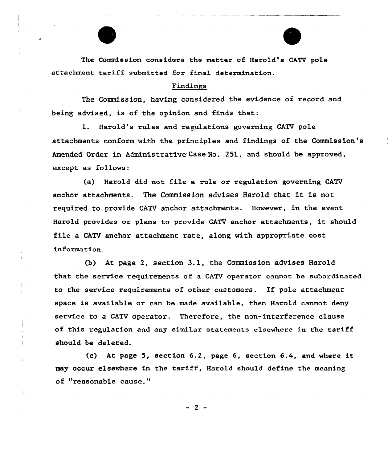The Commission considers the matter of Harold's CATV pole attachment tariff submitted for final determination.

#### Findings

The Commission, having considered the evidence of record and being advised, is of the opinion and finds that:

1. Harold's rules and regulations governing CATV pole attachments conform with the principles and findings of the Commission's Amended Order in Administrative Case Ho. 251, and should be approved, except as follows:

(a} Harold did not file a rule or regulation governing CATV anchor attachments. The Commission advises Harold that it is not required to provide CATV anchor attachments. However, in the event Harold provides or plans to provide CATV anchor attachments, it should file a CATV anchor attachment rate, along with appropriate cost information.

{b} At page 2, section 3.1, the Commission advises Harold that the service requirements of a CATV operator cannot be subordinated to the service requirements of other customers. If pole attachment space is available or can be made available, then Harold cannot deny service to a CATV operator. Therefore, the non-interference clause of this regulation and any similar statements elsewhere in the tariff should be deleted.

(c) At page 5, section 6.2, page 6, section 6.4, and where it may occur elsewhere in the tariff, Harold should define the meaning of "reasonable cause."

 $-2-$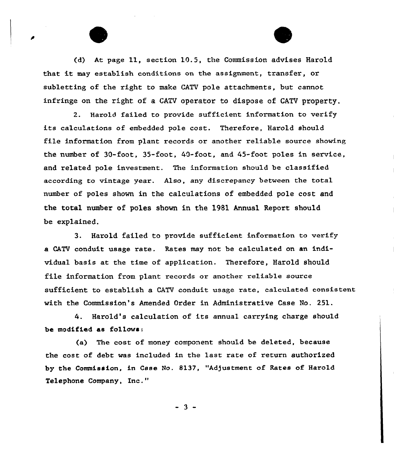(d) At page 11, section 10.5, the Commission advises Harold that it may establish conditions on the assignment, transfer, or subletting of the right to make CATV pole attachments, but cannot infringe on the right of a CATV operator to dispose of CATV property.

2. Harold failed to provide sufficient information to verify its calculations of embedded pole cost. Therefore, Harold should file information from plant records or another reliable source showing the number of 30-foot, 35-foot, 40-foot, and 45-foot poles in service, and related pole investment. The information should be classified according to vintage year. Also, any discrepancy between the total number of poles shown in the calculations of embedded pole cost and the total number of poles shown in the 1981 Annual Report should be explained.

3. Harold failed to provide sufficient information to verify a CATV conduit usage rate. Rates may not be calcu1ated on an individual basis at the time of application. Therefore, Harold should file information from plant records or another reliable source sufficient to establish a CATV conduit usage rate, calculated consistent with the Commission's Amended Order in Administrative Case No. 251.

4. Harold's calculation of its annual carrying charge should be modified as fo11ows:

(a) The cost of money component should be deleted, because the cost of debt was included in the Last rate of return authorized by the Commission, in Case No. 8137, "Adjustment of Rates of Harold Telephone Company, Inc. "

 $-3 -$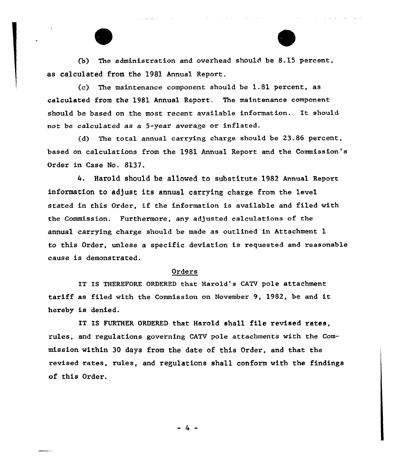(b) The administration and overhead should be 8.15 percent, as calculated from the 1981 Annual Report.

(c) The maintenance component should be 1.81 percent, as calculated from the 1981 Annual Report. The maintenance component should be based on the most recent available information. It should not be calculated as a 5-year average or inflated.

(d) The tota1 annual carrying charge should be 23.86 percent, based on calculations from the 1981 Annual Report and the Commission's Oxdex in Case No. 8137.

4. Harold should be allowed to substitute 1982 Annual Report information to adjust its annual carrying charge from the level stated in this Order, if the infoxmation is available and filed with the Commission. Furthermore, any adjusted calculations of the annual carrying charge should be made as outlined in Attachment 1 to this Order, unless a specific deviation is requested and reasonable cause is demonstrated.

## Orders

IT IS THEREFORE ORDERED that Harold's CATV pole attachment tariff as filed with the Commission on November 9, 1982, be and it hereby is denied.

IT IS FURTHER ORDERED that Harold shall file revised rates, rules, and regulations governing CATV pole attachments with the Commission within 30 days from the date of this Order, and that the revised rates, rules, and regulations shall conform with the findings of this Order.

-4-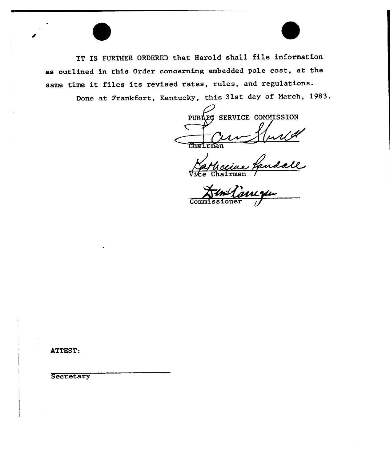IT IS FURTHER ORDERED that Harold shall file information as outlined in this Order concerning embedded pole cost, at the same time it files its revised rates, rules, and regulations.

Done at Frankfort, Kentucky, this 31st day of March, 1983.

20 SERVICE COMMISSION PUBI  $\overline{\text{C}^{\text{max}}$ rman

force Vice Chairman

 $\overline{\mathrm{Comm}}$ 

ATTEST:

**Secretary**